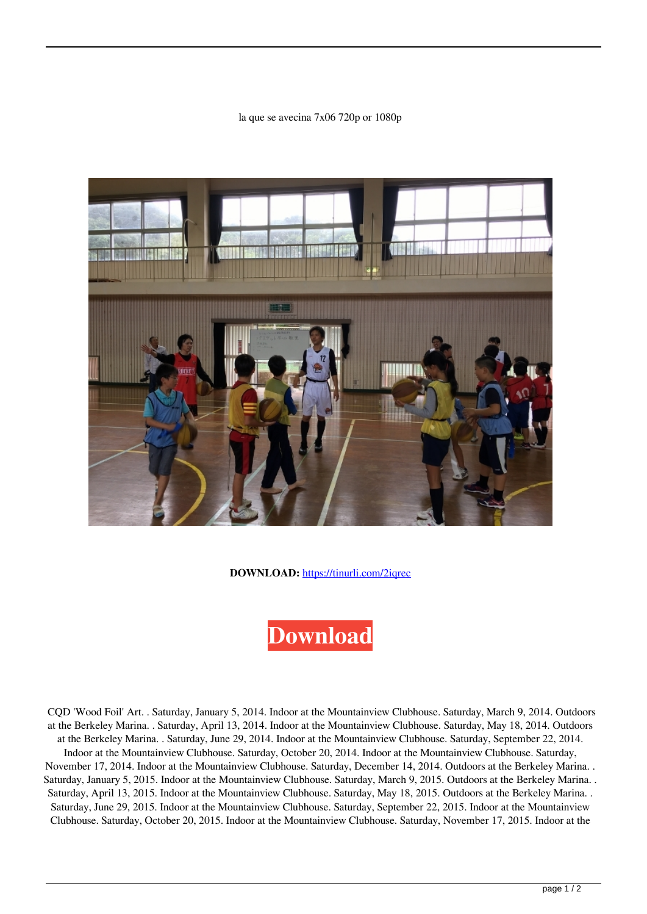## la que se avecina 7x06 720p or 1080p



**DOWNLOAD:** <https://tinurli.com/2iqrec>

## **[Download](https://tinurli.com/2iqrec)**

 CQD 'Wood Foil' Art. . Saturday, January 5, 2014. Indoor at the Mountainview Clubhouse. Saturday, March 9, 2014. Outdoors at the Berkeley Marina. . Saturday, April 13, 2014. Indoor at the Mountainview Clubhouse. Saturday, May 18, 2014. Outdoors at the Berkeley Marina. . Saturday, June 29, 2014. Indoor at the Mountainview Clubhouse. Saturday, September 22, 2014. Indoor at the Mountainview Clubhouse. Saturday, October 20, 2014. Indoor at the Mountainview Clubhouse. Saturday, November 17, 2014. Indoor at the Mountainview Clubhouse. Saturday, December 14, 2014. Outdoors at the Berkeley Marina. . Saturday, January 5, 2015. Indoor at the Mountainview Clubhouse. Saturday, March 9, 2015. Outdoors at the Berkeley Marina. . Saturday, April 13, 2015. Indoor at the Mountainview Clubhouse. Saturday, May 18, 2015. Outdoors at the Berkeley Marina. . Saturday, June 29, 2015. Indoor at the Mountainview Clubhouse. Saturday, September 22, 2015. Indoor at the Mountainview Clubhouse. Saturday, October 20, 2015. Indoor at the Mountainview Clubhouse. Saturday, November 17, 2015. Indoor at the